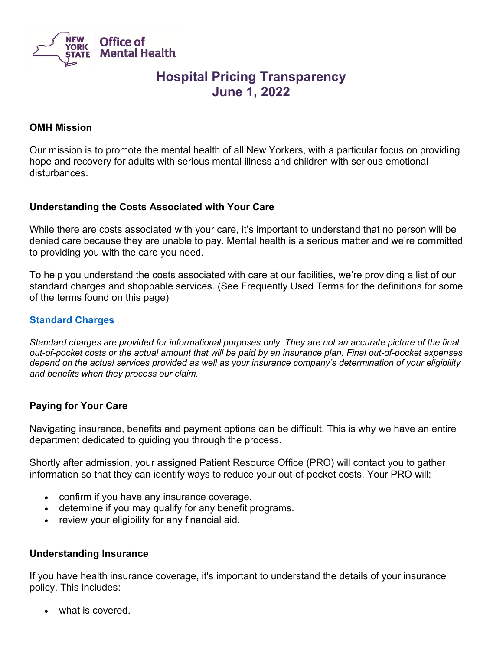

# **Hospital Pricing Transparency June 1, 2022**

#### **OMH Mission**

Our mission is to promote the mental health of all New Yorkers, with a particular focus on providing hope and recovery for adults with serious mental illness and children with serious emotional disturbances.

#### **Understanding the Costs Associated with Your Care**

While there are costs associated with your care, it's important to understand that no person will be denied care because they are unable to pay. Mental health is a serious matter and we're committed to providing you with the care you need.

To help you understand the costs associated with care at our facilities, we're providing a list of our standard charges and shoppable services. (See Frequently Used Terms for the definitions for some of the terms found on this page)

#### **[Standard Charges](https://omh.ny.gov/omhweb/adults/omh-standard-charges.csv)**

*Standard charges are provided for informational purposes only. They are not an accurate picture of the final out-of-pocket costs or the actual amount that will be paid by an insurance plan. Final out-of-pocket expenses depend on the actual services provided as well as your insurance company's determination of your eligibility and benefits when they process our claim.*

### **Paying for Your Care**

Navigating insurance, benefits and payment options can be difficult. This is why we have an entire department dedicated to guiding you through the process.

Shortly after admission, your assigned Patient Resource Office (PRO) will contact you to gather information so that they can identify ways to reduce your out-of-pocket costs. Your PRO will:

- confirm if you have any insurance coverage.
- determine if you may qualify for any benefit programs.
- review your eligibility for any financial aid.

#### **Understanding Insurance**

If you have health insurance coverage, it's important to understand the details of your insurance policy. This includes:

• what is covered.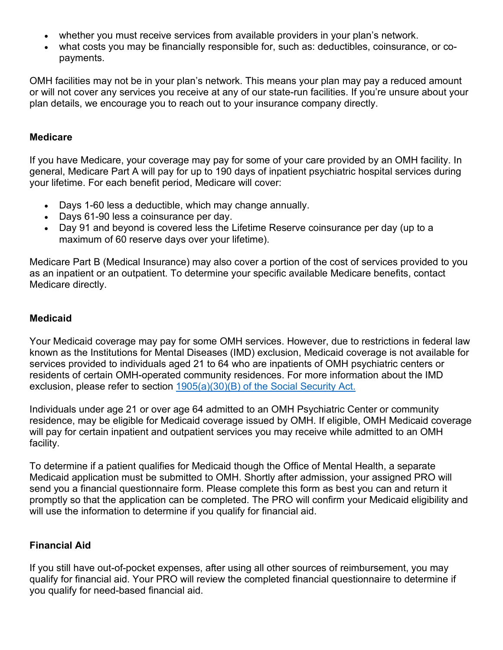- whether you must receive services from available providers in your plan's network.
- what costs you may be financially responsible for, such as: deductibles, coinsurance, or copayments.

OMH facilities may not be in your plan's network. This means your plan may pay a reduced amount or will not cover any services you receive at any of our state-run facilities. If you're unsure about your plan details, we encourage you to reach out to your insurance company directly.

#### **Medicare**

If you have Medicare, your coverage may pay for some of your care provided by an OMH facility. In general, Medicare Part A will pay for up to 190 days of inpatient psychiatric hospital services during your lifetime. For each benefit period, Medicare will cover:

- Days 1-60 less a deductible, which may change annually.
- Days 61-90 less a coinsurance per day.
- Day 91 and beyond is covered less the Lifetime Reserve coinsurance per day (up to a maximum of 60 reserve days over your lifetime).

Medicare Part B (Medical Insurance) may also cover a portion of the cost of services provided to you as an inpatient or an outpatient. To determine your specific available Medicare benefits, contact Medicare directly.

#### **Medicaid**

Your Medicaid coverage may pay for some OMH services. However, due to restrictions in federal law known as the Institutions for Mental Diseases (IMD) exclusion, Medicaid coverage is not available for services provided to individuals aged 21 to 64 who are inpatients of OMH psychiatric centers or residents of certain OMH-operated community residences. For more information about the IMD exclusion, please refer to section [1905\(a\)\(30\)\(B\) of the Social Security Act.](https://www.ssa.gov/OP_Home/ssact/title19/1905.htm)

Individuals under age 21 or over age 64 admitted to an OMH Psychiatric Center or community residence, may be eligible for Medicaid coverage issued by OMH. If eligible, OMH Medicaid coverage will pay for certain inpatient and outpatient services you may receive while admitted to an OMH facility.

To determine if a patient qualifies for Medicaid though the Office of Mental Health, a separate Medicaid application must be submitted to OMH. Shortly after admission, your assigned PRO will send you a financial questionnaire form. Please complete this form as best you can and return it promptly so that the application can be completed. The PRO will confirm your Medicaid eligibility and will use the information to determine if you qualify for financial aid.

### **Financial Aid**

If you still have out-of-pocket expenses, after using all other sources of reimbursement, you may qualify for financial aid. Your PRO will review the completed financial questionnaire to determine if you qualify for need-based financial aid.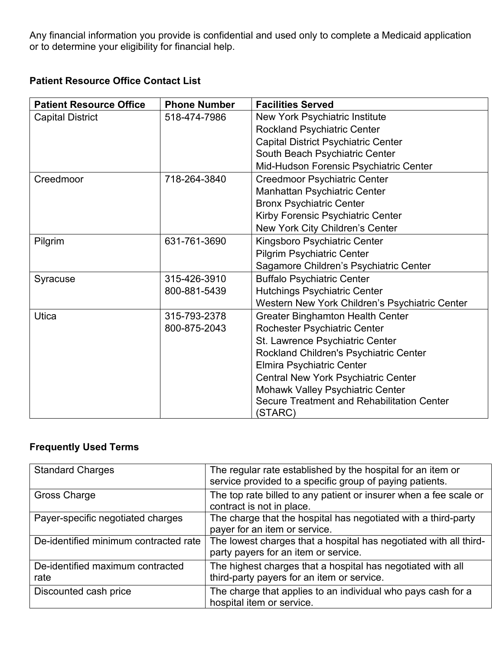Any financial information you provide is confidential and used only to complete a Medicaid application or to determine your eligibility for financial help.

### **Patient Resource Office Contact List**

| <b>Patient Resource Office</b> | <b>Phone Number</b> | <b>Facilities Served</b>                       |
|--------------------------------|---------------------|------------------------------------------------|
| <b>Capital District</b>        | 518-474-7986        | New York Psychiatric Institute                 |
|                                |                     | <b>Rockland Psychiatric Center</b>             |
|                                |                     | <b>Capital District Psychiatric Center</b>     |
|                                |                     | South Beach Psychiatric Center                 |
|                                |                     | Mid-Hudson Forensic Psychiatric Center         |
| Creedmoor                      | 718-264-3840        | <b>Creedmoor Psychiatric Center</b>            |
|                                |                     | Manhattan Psychiatric Center                   |
|                                |                     | <b>Bronx Psychiatric Center</b>                |
|                                |                     | Kirby Forensic Psychiatric Center              |
|                                |                     | New York City Children's Center                |
| Pilgrim                        | 631-761-3690        | Kingsboro Psychiatric Center                   |
|                                |                     | <b>Pilgrim Psychiatric Center</b>              |
|                                |                     | Sagamore Children's Psychiatric Center         |
| Syracuse                       | 315-426-3910        | <b>Buffalo Psychiatric Center</b>              |
|                                | 800-881-5439        | <b>Hutchings Psychiatric Center</b>            |
|                                |                     | Western New York Children's Psychiatric Center |
| Utica                          | 315-793-2378        | <b>Greater Binghamton Health Center</b>        |
|                                | 800-875-2043        | Rochester Psychiatric Center                   |
|                                |                     | St. Lawrence Psychiatric Center                |
|                                |                     | Rockland Children's Psychiatric Center         |
|                                |                     | Elmira Psychiatric Center                      |
|                                |                     | Central New York Psychiatric Center            |
|                                |                     | <b>Mohawk Valley Psychiatric Center</b>        |
|                                |                     | Secure Treatment and Rehabilitation Center     |
|                                |                     | (STARC)                                        |

## **Frequently Used Terms**

| <b>Standard Charges</b>                  | The regular rate established by the hospital for an item or<br>service provided to a specific group of paying patients. |
|------------------------------------------|-------------------------------------------------------------------------------------------------------------------------|
| Gross Charge                             | The top rate billed to any patient or insurer when a fee scale or<br>contract is not in place.                          |
| Payer-specific negotiated charges        | The charge that the hospital has negotiated with a third-party<br>payer for an item or service.                         |
| De-identified minimum contracted rate    | The lowest charges that a hospital has negotiated with all third-<br>party payers for an item or service.               |
| De-identified maximum contracted<br>rate | The highest charges that a hospital has negotiated with all<br>third-party payers for an item or service.               |
| Discounted cash price                    | The charge that applies to an individual who pays cash for a<br>hospital item or service.                               |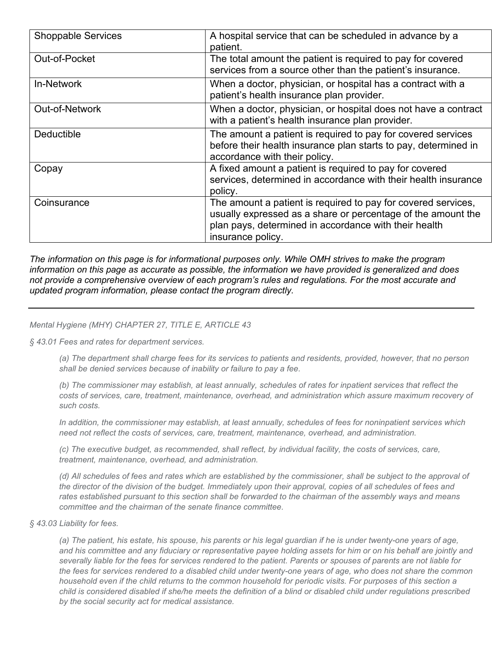| <b>Shoppable Services</b> | A hospital service that can be scheduled in advance by a<br>patient.                                                                                                                                        |
|---------------------------|-------------------------------------------------------------------------------------------------------------------------------------------------------------------------------------------------------------|
| Out-of-Pocket             | The total amount the patient is required to pay for covered<br>services from a source other than the patient's insurance.                                                                                   |
| <b>In-Network</b>         | When a doctor, physician, or hospital has a contract with a<br>patient's health insurance plan provider.                                                                                                    |
| Out-of-Network            | When a doctor, physician, or hospital does not have a contract<br>with a patient's health insurance plan provider.                                                                                          |
| <b>Deductible</b>         | The amount a patient is required to pay for covered services<br>before their health insurance plan starts to pay, determined in<br>accordance with their policy.                                            |
| Copay                     | A fixed amount a patient is required to pay for covered<br>services, determined in accordance with their health insurance<br>policy.                                                                        |
| Coinsurance               | The amount a patient is required to pay for covered services,<br>usually expressed as a share or percentage of the amount the<br>plan pays, determined in accordance with their health<br>insurance policy. |

*The information on this page is for informational purposes only. While OMH strives to make the program information on this page as accurate as possible, the information we have provided is generalized and does not provide a comprehensive overview of each program's rules and regulations. For the most accurate and updated program information, please contact the program directly.*

#### *Mental Hygiene (MHY) CHAPTER 27, TITLE E, ARTICLE 43*

*§ 43.01 Fees and rates for department services.*

*(a) The department shall charge fees for its services to patients and residents, provided, however, that no person shall be denied services because of inability or failure to pay a fee.*

*(b) The commissioner may establish, at least annually, schedules of rates for inpatient services that reflect the costs of services, care, treatment, maintenance, overhead, and administration which assure maximum recovery of such costs.*

*In addition, the commissioner may establish, at least annually, schedules of fees for noninpatient services which need not reflect the costs of services, care, treatment, maintenance, overhead, and administration.*

*(c) The executive budget, as recommended, shall reflect, by individual facility, the costs of services, care, treatment, maintenance, overhead, and administration.*

*(d) All schedules of fees and rates which are established by the commissioner, shall be subject to the approval of the director of the division of the budget. Immediately upon their approval, copies of all schedules of fees and rates established pursuant to this section shall be forwarded to the chairman of the assembly ways and means committee and the chairman of the senate finance committee.*

*§ 43.03 Liability for fees.*

*(a) The patient, his estate, his spouse, his parents or his legal guardian if he is under twenty-one years of age,* and his committee and any fiduciary or representative payee holding assets for him or on his behalf are jointly and *severally liable for the fees for services rendered to the patient. Parents or spouses of parents are not liable for the fees for services rendered to a disabled child under twenty-one years of age, who does not share the common household even if the child returns to the common household for periodic visits. For purposes of this section a child is considered disabled if she/he meets the definition of a blind or disabled child under regulations prescribed by the social security act for medical assistance.*